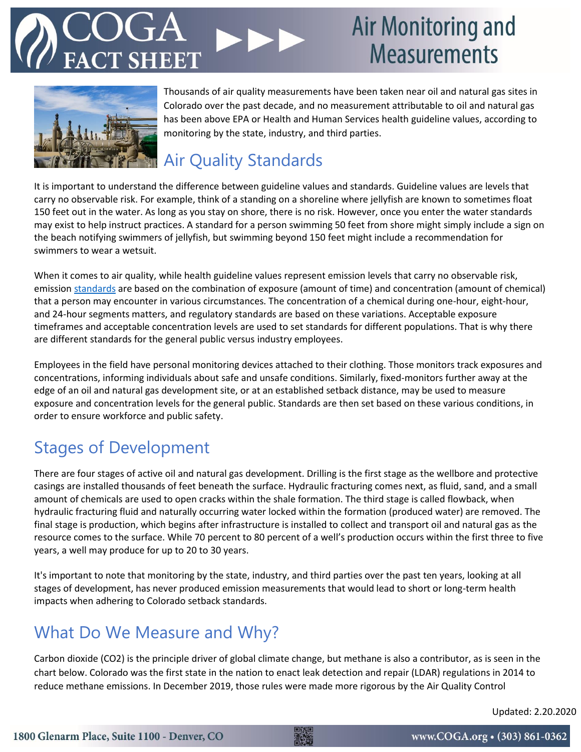## **Air Monitoring and Measurements**



Thousands of air quality measurements have been taken near oil and natural gas sites in Colorado over the past decade, and no measurement attributable to oil and natural gas has been above EPA or Health and Human Services health guideline values, according to monitoring by the state, industry, and third parties.

### **Air Quality Standards**

It is important to understand the difference between guideline values and standards. Guideline values are levels that carry no observable risk. For example, think of a standing on a shoreline where jellyfish are known to sometimes float 150 feet out in the water. As long as you stay on shore, there is no risk. However, once you enter the water standards may exist to help instruct practices. A standard for a person swimming 50 feet from shore might simply include a sign on the beach notifying swimmers of jellyfish, but swimming beyond 150 feet might include a recommendation for swimmers to wear a wetsuit.

When it comes to air quality, while health guideline values represent emission levels that carry no observable risk, emission [standards](https://www.ncbi.nlm.nih.gov/books/NBK218147/) are based on the combination of exposure (amount of time) and concentration (amount of chemical) that a person may encounter in various circumstances. The concentration of a chemical during one-hour, eight-hour, and 24-hour segments matters, and regulatory standards are based on these variations. Acceptable exposure timeframes and acceptable concentration levels are used to set standards for different populations. That is why there are different standards for the general public versus industry employees.

Employees in the field have personal monitoring devices attached to their clothing. Those monitors track exposures and concentrations, informing individuals about safe and unsafe conditions. Similarly, fixed-monitors further away at the edge of an oil and natural gas development site, or at an established setback distance, may be used to measure exposure and concentration levels for the general public. Standards are then set based on these various conditions, in order to ensure workforce and public safety.

### Stages of Development

There are four stages of active oil and natural gas development. Drilling is the first stage as the wellbore and protective casings are installed thousands of feet beneath the surface. Hydraulic fracturing comes next, as fluid, sand, and a small amount of chemicals are used to open cracks within the shale formation. The third stage is called flowback, when hydraulic fracturing fluid and naturally occurring water locked within the formation (produced water) are removed. The final stage is production, which begins after infrastructure is installed to collect and transport oil and natural gas as the resource comes to the surface. While 70 percent to 80 percent of a well's production occurs within the first three to five years, a well may produce for up to 20 to 30 years.

It's important to note that monitoring by the state, industry, and third parties over the past ten years, looking at all stages of development, has never produced emission measurements that would lead to short or long-term health impacts when adhering to Colorado setback standards.

### What Do We Measure and Why?

Carbon dioxide (CO2) is the principle driver of global climate change, but methane is also a contributor, as is seen in the chart below. Colorado was the first state in the nation to enact leak detection and repair (LDAR) regulations in 2014 to reduce methane emissions. In December 2019, those rules were made more rigorous by the Air Quality Control

Updated: 2.20.2020